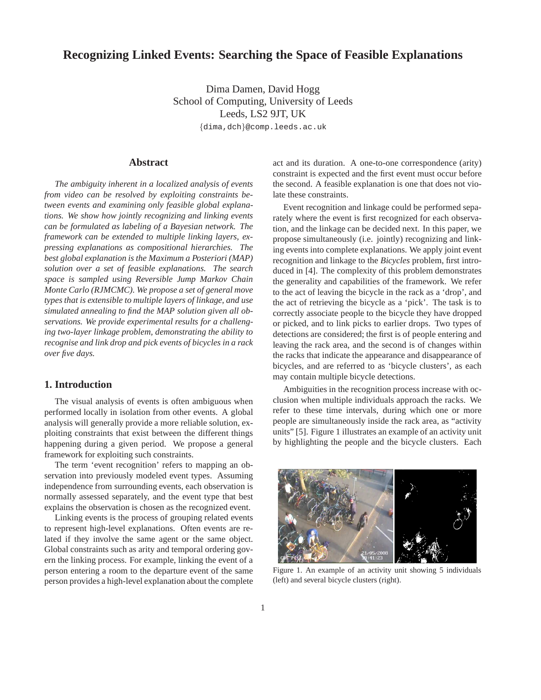# **Recognizing Linked Events: Searching the Space of Feasible Explanations**

Dima Damen, David Hogg School of Computing, University of Leeds Leeds, LS2 9JT, UK

{dima,dch}@comp.leeds.ac.uk

# **Abstract**

*The ambiguity inherent in a localized analysis of events from video can be resolved by exploiting constraints between events and examining only feasible global explanations. We show how jointly recognizing and linking events can be formulated as labeling of a Bayesian network. The framework can be extended to multiple linking layers, expressing explanations as compositional hierarchies. The best global explanation is the Maximum a Posteriori (MAP) solution over a set of feasible explanations. The search space is sampled using Reversible Jump Markov Chain Monte Carlo (RJMCMC). We propose a set of general move types that is extensible to multiple layers of linkage, and use simulated annealing to find the MAP solution given all observations. We provide experimental results for a challenging two-layer linkage problem, demonstrating the ability to recognise and link drop and pick events of bicycles in a rack over five days.*

### **1. Introduction**

The visual analysis of events is often ambiguous when performed locally in isolation from other events. A global analysis will generally provide a more reliable solution, exploiting constraints that exist between the different things happening during a given period. We propose a general framework for exploiting such constraints.

The term 'event recognition' refers to mapping an observation into previously modeled event types. Assuming independence from surrounding events, each observation is normally assessed separately, and the event type that best explains the observation is chosen as the recognized event.

Linking events is the process of grouping related events to represent high-level explanations. Often events are related if they involve the same agent or the same object. Global constraints such as arity and temporal ordering govern the linking process. For example, linking the event of a person entering a room to the departure event of the same person provides a high-level explanation about the complete act and its duration. A one-to-one correspondence (arity) constraint is expected and the first event must occur before the second. A feasible explanation is one that does not violate these constraints.

Event recognition and linkage could be performed separately where the event is first recognized for each observation, and the linkage can be decided next. In this paper, we propose simultaneously (i.e. jointly) recognizing and linking events into complete explanations. We apply joint event recognition and linkage to the *Bicycles* problem, first introduced in [4]. The complexity of this problem demonstrates the generality and capabilities of the framework. We refer to the act of leaving the bicycle in the rack as a 'drop', and the act of retrieving the bicycle as a 'pick'. The task is to correctly associate people to the bicycle they have dropped or picked, and to link picks to earlier drops. Two types of detections are considered; the first is of people entering and leaving the rack area, and the second is of changes within the racks that indicate the appearance and disappearance of bicycles, and are referred to as 'bicycle clusters', as each may contain multiple bicycle detections.

Ambiguities in the recognition process increase with occlusion when multiple individuals approach the racks. We refer to these time intervals, during which one or more people are simultaneously inside the rack area, as "activity units" [5]. Figure 1 illustrates an example of an activity unit by highlighting the people and the bicycle clusters. Each



Figure 1. An example of an activity unit showing 5 individuals (left) and several bicycle clusters (right).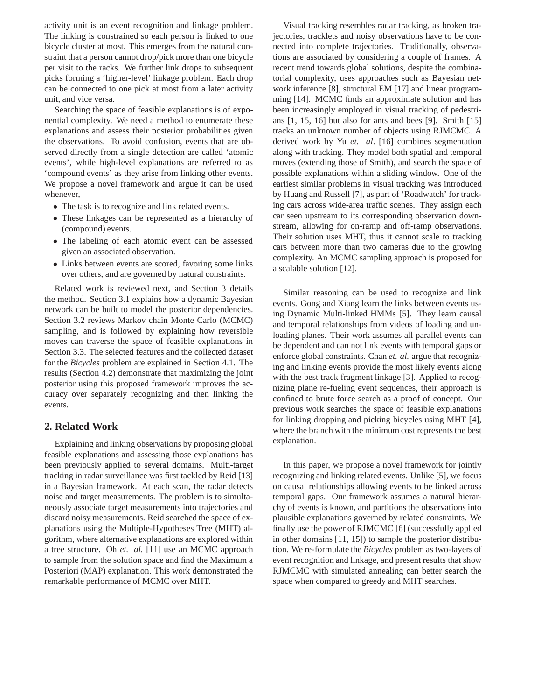activity unit is an event recognition and linkage problem. The linking is constrained so each person is linked to one bicycle cluster at most. This emerges from the natural constraint that a person cannot drop/pick more than one bicycle per visit to the racks. We further link drops to subsequent picks forming a 'higher-level' linkage problem. Each drop can be connected to one pick at most from a later activity unit, and vice versa.

Searching the space of feasible explanations is of exponential complexity. We need a method to enumerate these explanations and assess their posterior probabilities given the observations. To avoid confusion, events that are observed directly from a single detection are called 'atomic events', while high-level explanations are referred to as 'compound events' as they arise from linking other events. We propose a novel framework and argue it can be used whenever,

- The task is to recognize and link related events.
- These linkages can be represented as a hierarchy of (compound) events.
- The labeling of each atomic event can be assessed given an associated observation.
- Links between events are scored, favoring some links over others, and are governed by natural constraints.

Related work is reviewed next, and Section 3 details the method. Section 3.1 explains how a dynamic Bayesian network can be built to model the posterior dependencies. Section 3.2 reviews Markov chain Monte Carlo (MCMC) sampling, and is followed by explaining how reversible moves can traverse the space of feasible explanations in Section 3.3. The selected features and the collected dataset for the *Bicycles* problem are explained in Section 4.1. The results (Section 4.2) demonstrate that maximizing the joint posterior using this proposed framework improves the accuracy over separately recognizing and then linking the events.

## **2. Related Work**

Explaining and linking observations by proposing global feasible explanations and assessing those explanations has been previously applied to several domains. Multi-target tracking in radar surveillance was first tackled by Reid [13] in a Bayesian framework. At each scan, the radar detects noise and target measurements. The problem is to simultaneously associate target measurements into trajectories and discard noisy measurements. Reid searched the space of explanations using the Multiple-Hypotheses Tree (MHT) algorithm, where alternative explanations are explored within a tree structure. Oh *et. al.* [11] use an MCMC approach to sample from the solution space and find the Maximum a Posteriori (MAP) explanation. This work demonstrated the remarkable performance of MCMC over MHT.

Visual tracking resembles radar tracking, as broken trajectories, tracklets and noisy observations have to be connected into complete trajectories. Traditionally, observations are associated by considering a couple of frames. A recent trend towards global solutions, despite the combinatorial complexity, uses approaches such as Bayesian network inference [8], structural EM [17] and linear programming [14]. MCMC finds an approximate solution and has been increasingly employed in visual tracking of pedestrians  $[1, 15, 16]$  but also for ants and bees  $[9]$ . Smith  $[15]$ tracks an unknown number of objects using RJMCMC. A derived work by Yu *et. al*. [16] combines segmentation along with tracking. They model both spatial and temporal moves (extending those of Smith), and search the space of possible explanations within a sliding window. One of the earliest similar problems in visual tracking was introduced by Huang and Russell [7], as part of 'Roadwatch' for tracking cars across wide-area traffic scenes. They assign each car seen upstream to its corresponding observation downstream, allowing for on-ramp and off-ramp observations. Their solution uses MHT, thus it cannot scale to tracking cars between more than two cameras due to the growing complexity. An MCMC sampling approach is proposed for a scalable solution [12].

Similar reasoning can be used to recognize and link events. Gong and Xiang learn the links between events using Dynamic Multi-linked HMMs [5]. They learn causal and temporal relationships from videos of loading and unloading planes. Their work assumes all parallel events can be dependent and can not link events with temporal gaps or enforce global constraints. Chan *et. al.* argue that recognizing and linking events provide the most likely events along with the best track fragment linkage [3]. Applied to recognizing plane re-fueling event sequences, their approach is confined to brute force search as a proof of concept. Our previous work searches the space of feasible explanations for linking dropping and picking bicycles using MHT [4], where the branch with the minimum cost represents the best explanation.

In this paper, we propose a novel framework for jointly recognizing and linking related events. Unlike [5], we focus on causal relationships allowing events to be linked across temporal gaps. Our framework assumes a natural hierarchy of events is known, and partitions the observations into plausible explanations governed by related constraints. We finally use the power of RJMCMC [6] (successfully applied in other domains [11, 15]) to sample the posterior distribution. We re-formulate the *Bicycles* problem as two-layers of event recognition and linkage, and present results that show RJMCMC with simulated annealing can better search the space when compared to greedy and MHT searches.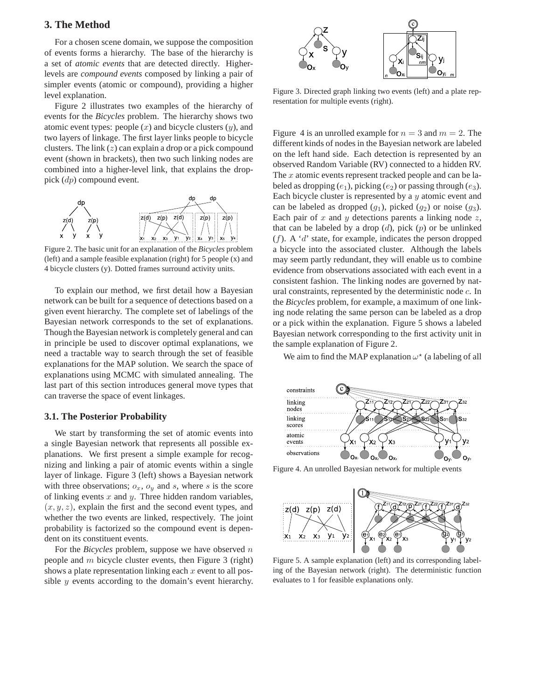### **3. The Method**

For a chosen scene domain, we suppose the composition of events forms a hierarchy. The base of the hierarchy is a set of *atomic events* that are detected directly. Higherlevels are *compound events* composed by linking a pair of simpler events (atomic or compound), providing a higher level explanation.

Figure 2 illustrates two examples of the hierarchy of events for the *Bicycles* problem. The hierarchy shows two atomic event types: people  $(x)$  and bicycle clusters  $(y)$ , and two layers of linkage. The first layer links people to bicycle clusters. The link  $(z)$  can explain a drop or a pick compound event (shown in brackets), then two such linking nodes are combined into a higher-level link, that explains the droppick (dp) compound event.



Figure 2. The basic unit for an explanation of the *Bicycles* problem (left) and a sample feasible explanation (right) for 5 people (x) and 4 bicycle clusters (y). Dotted frames surround activity units.

To explain our method, we first detail how a Bayesian network can be built for a sequence of detections based on a given event hierarchy. The complete set of labelings of the Bayesian network corresponds to the set of explanations. Though the Bayesian network is completely general and can in principle be used to discover optimal explanations, we need a tractable way to search through the set of feasible explanations for the MAP solution. We search the space of explanations using MCMC with simulated annealing. The last part of this section introduces general move types that can traverse the space of event linkages.

#### **3.1. The Posterior Probability**

We start by transforming the set of atomic events into a single Bayesian network that represents all possible explanations. We first present a simple example for recognizing and linking a pair of atomic events within a single layer of linkage. Figure 3 (left) shows a Bayesian network with three observations;  $o_x$ ,  $o_y$  and s, where s is the score of linking events  $x$  and  $y$ . Three hidden random variables,  $(x, y, z)$ , explain the first and the second event types, and whether the two events are linked, respectively. The joint probability is factorized so the compound event is dependent on its constituent events.

For the *Bicycles* problem, suppose we have observed n people and m bicycle cluster events, then Figure 3 (right) shows a plate representation linking each  $x$  event to all possible  $\gamma$  events according to the domain's event hierarchy.



Figure 3. Directed graph linking two events (left) and a plate representation for multiple events (right).

Figure 4 is an unrolled example for  $n = 3$  and  $m = 2$ . The different kinds of nodes in the Bayesian network are labeled on the left hand side. Each detection is represented by an observed Random Variable (RV) connected to a hidden RV. The  $x$  atomic events represent tracked people and can be labeled as dropping  $(e_1)$ , picking  $(e_2)$  or passing through  $(e_3)$ . Each bicycle cluster is represented by a  $y$  atomic event and can be labeled as dropped  $(q_1)$ , picked  $(q_2)$  or noise  $(q_3)$ . Each pair of  $x$  and  $y$  detections parents a linking node  $z$ , that can be labeled by a drop  $(d)$ , pick  $(p)$  or be unlinked  $(f)$ . A 'd' state, for example, indicates the person dropped a bicycle into the associated cluster. Although the labels may seem partly redundant, they will enable us to combine evidence from observations associated with each event in a consistent fashion. The linking nodes are governed by natural constraints, represented by the deterministic node c. In the *Bicycles* problem, for example, a maximum of one linking node relating the same person can be labeled as a drop or a pick within the explanation. Figure 5 shows a labeled Bayesian network corresponding to the first activity unit in the sample explanation of Figure 2.

We aim to find the MAP explanation  $\omega^*$  (a labeling of all



Figure 4. An unrolled Bayesian network for multiple events



Figure 5. A sample explanation (left) and its corresponding labeling of the Bayesian network (right). The deterministic function evaluates to 1 for feasible explanations only.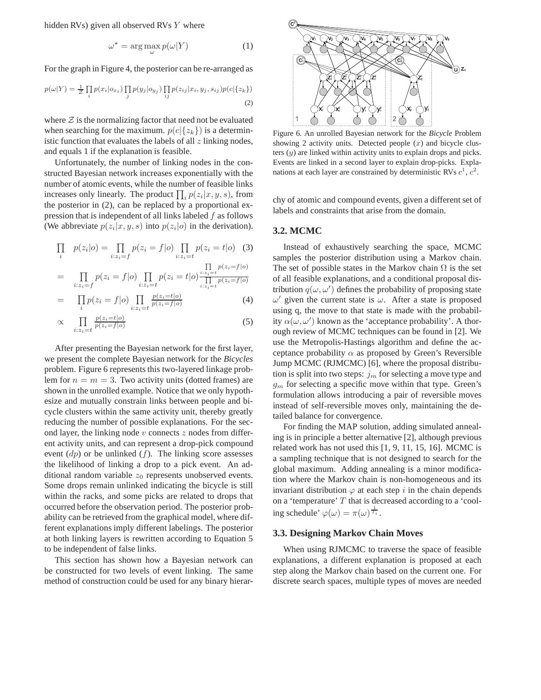hidden RVs) given all observed RVs Y where

$$
\omega^* = \arg\max_{\omega} p(\omega|Y) \tag{1}
$$

For the graph in Figure 4, the posterior can be re-arranged as

$$
p(\omega|Y) = \frac{1}{\mathcal{Z}} \prod_{i} p(x_i|o_{x_i}) \prod_{j} p(y_j|o_{y_j}) \prod_{ij} p(z_{ij}|x_i, y_j, s_{ij}) p(c|\{z_k\})
$$
\n(2)

where  $\mathcal Z$  is the normalizing factor that need not be evaluated when searching for the maximum.  $p(c, \{z_k\})$  is a deterministic function that evaluates the labels of all  $z$  linking nodes, and equals 1 if the explanation is feasible.

Unfortunately, the number of linking nodes in the constructed Bayesian network increases exponentially with the number of atomic events, while the number of feasible links increases only linearly. The product  $\prod_i p(z_i|x, y, s)$ , from the posterior in (2), can be replaced by a proportional expression that is independent of all links labeled  $f$  as follows (We abbreviate  $p(z_i|x, y, s)$  into  $p(z_i|o)$  in the derivation).

$$
\prod_{i} \quad p(z_i|o) = \prod_{i:z_i = f} p(z_i = f|o) \prod_{i:z_i = t} p(z_i = t|o) \quad (3)
$$

$$
= \prod_{i:z_i=f} p(z_i=f|o) \prod_{i:z_i=t} p(z_i=t|o) \frac{\prod\limits_{i:z_i=t} p(z_i=f|o)}{\prod\limits_{i:z_i=t} p(z_i=f|o)}
$$

$$
= \prod_{i} p(z_i = f|o) \prod_{i:z_i = t} \frac{p(z_i = t|o)}{p(z_i = f|o)}
$$
(4)

$$
\propto \prod_{i:z_i=t} \frac{p(z_i=t|o)}{p(z_i=f|o)}\tag{5}
$$

After presenting the Bayesian network for the first layer, we present the complete Bayesian network for the *Bicycles* problem. Figure 6 represents this two-layered linkage problem for  $n = m = 3$ . Two activity units (dotted frames) are shown in the unrolled example. Notice that we only hypothesize and mutually constrain links between people and bicycle clusters within the same activity unit, thereby greatly reducing the number of possible explanations. For the second layer, the linking node  $v$  connects  $z$  nodes from different activity units, and can represent a drop-pick compound event  $(dp)$  or be unlinked  $(f)$ . The linking score assesses the likelihood of linking a drop to a pick event. An additional random variable  $z_0$  represents unobserved events. Some drops remain unlinked indicating the bicycle is still within the racks, and some picks are related to drops that occurred before the observation period. The posterior probability can be retrieved from the graphical model, where different explanations imply different labelings. The posterior at both linking layers is rewritten according to Equation 5 to be independent of false links.

This section has shown how a Bayesian network can be constructed for two levels of event linking. The same method of construction could be used for any binary hierar-



Figure 6. An unrolled Bayesian network for the *Bicycle* Problem showing 2 activity units. Detected people  $(x)$  and bicycle clusters (y) are linked within activity units to explain drops and picks. Events are linked in a second layer to explain drop-picks. Explanations at each layer are constrained by deterministic RVs  $c^1$ ,  $c^2$ .

chy of atomic and compound events, given a different set of labels and constraints that arise from the domain.

#### **3.2. MCMC**

Instead of exhaustively searching the space, MCMC samples the posterior distribution using a Markov chain. The set of possible states in the Markov chain  $\Omega$  is the set of all feasible explanations, and a conditional proposal distribution  $q(\omega, \omega')$  defines the probability of proposing state  $\omega'$  given the current state is  $\omega$ . After a state is proposed using q, the move to that state is made with the probability  $\alpha(\omega, \omega')$  known as the 'acceptance probability'. A thorough review of MCMC techniques can be found in [2]. We use the Metropolis-Hastings algorithm and define the acceptance probability  $\alpha$  as proposed by Green's Reversible Jump MCMC (RJMCMC) [6], where the proposal distribution is split into two steps:  $j_m$  for selecting a move type and  $g_m$  for selecting a specific move within that type. Green's formulation allows introducing a pair of reversible moves instead of self-reversible moves only, maintaining the detailed balance for convergence.

For finding the MAP solution, adding simulated annealing is in principle a better alternative [2], although previous related work has not used this [1, 9, 11, 15, 16]. MCMC is a sampling technique that is not designed to search for the global maximum. Adding annealing is a minor modification where the Markov chain is non-homogeneous and its invariant distribution  $\varphi$  at each step i in the chain depends on a 'temperature' T that is decreased according to a 'cooling schedule'  $\varphi(\omega) = \pi(\omega)^{\frac{1}{T_i}}$ .

#### **3.3. Designing Markov Chain Moves**

When using RJMCMC to traverse the space of feasible explanations, a different explanation is proposed at each step along the Markov chain based on the current one. For discrete search spaces, multiple types of moves are needed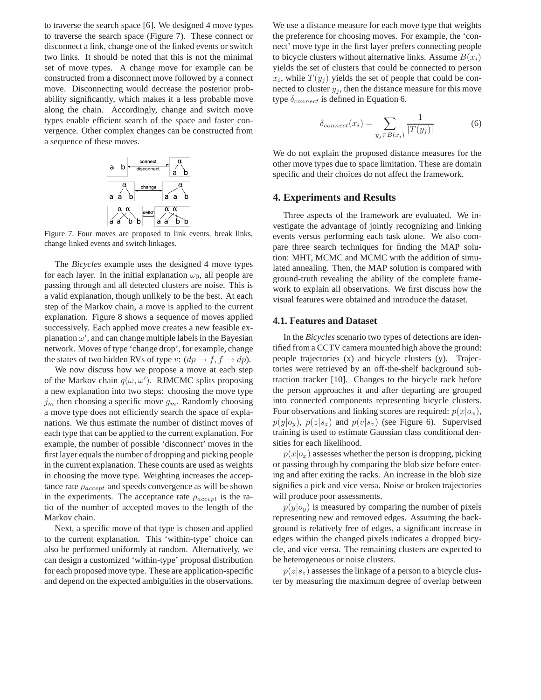to traverse the search space [6]. We designed 4 move types to traverse the search space (Figure 7). These connect or disconnect a link, change one of the linked events or switch two links. It should be noted that this is not the minimal set of move types. A change move for example can be constructed from a disconnect move followed by a connect move. Disconnecting would decrease the posterior probability significantly, which makes it a less probable move along the chain. Accordingly, change and switch move types enable efficient search of the space and faster convergence. Other complex changes can be constructed from a sequence of these moves.



Figure 7. Four moves are proposed to link events, break links, change linked events and switch linkages.

The *Bicycles* example uses the designed 4 move types for each layer. In the initial explanation  $\omega_0$ , all people are passing through and all detected clusters are noise. This is a valid explanation, though unlikely to be the best. At each step of the Markov chain, a move is applied to the current explanation. Figure 8 shows a sequence of moves applied successively. Each applied move creates a new feasible explanation  $\omega'$ , and can change multiple labels in the Bayesian network. Moves of type 'change drop', for example, change the states of two hidden RVs of type v:  $(dp \rightarrow f, f \rightarrow dp)$ .

We now discuss how we propose a move at each step of the Markov chain  $q(\omega, \omega')$ . RJMCMC splits proposing a new explanation into two steps: choosing the move type  $j_m$  then choosing a specific move  $g_m$ . Randomly choosing a move type does not efficiently search the space of explanations. We thus estimate the number of distinct moves of each type that can be applied to the current explanation. For example, the number of possible 'disconnect' moves in the first layer equals the number of dropping and picking people in the current explanation. These counts are used as weights in choosing the move type. Weighting increases the acceptance rate  $\rho_{accept}$  and speeds convergence as will be shown in the experiments. The acceptance rate  $\rho_{accept}$  is the ratio of the number of accepted moves to the length of the Markov chain.

Next, a specific move of that type is chosen and applied to the current explanation. This 'within-type' choice can also be performed uniformly at random. Alternatively, we can design a customized 'within-type' proposal distribution for each proposed move type. These are application-specific and depend on the expected ambiguities in the observations.

We use a distance measure for each move type that weights the preference for choosing moves. For example, the 'connect' move type in the first layer prefers connecting people to bicycle clusters without alternative links. Assume  $B(x_i)$ yields the set of clusters that could be connected to person  $x_i$ , while  $T(y_j)$  yields the set of people that could be connected to cluster  $y_j$ , then the distance measure for this move type  $\delta_{connect}$  is defined in Equation 6.

$$
\delta_{connect}(x_i) = \sum_{y_j \in B(x_i)} \frac{1}{|T(y_j)|} \tag{6}
$$

We do not explain the proposed distance measures for the other move types due to space limitation. These are domain specific and their choices do not affect the framework.

#### **4. Experiments and Results**

Three aspects of the framework are evaluated. We investigate the advantage of jointly recognizing and linking events versus performing each task alone. We also compare three search techniques for finding the MAP solution: MHT, MCMC and MCMC with the addition of simulated annealing. Then, the MAP solution is compared with ground-truth revealing the ability of the complete framework to explain all observations. We first discuss how the visual features were obtained and introduce the dataset.

#### **4.1. Features and Dataset**

In the *Bicycles* scenario two types of detections are identified from a CCTV camera mounted high above the ground: people trajectories (x) and bicycle clusters (y). Trajectories were retrieved by an off-the-shelf background subtraction tracker [10]. Changes to the bicycle rack before the person approaches it and after departing are grouped into connected components representing bicycle clusters. Four observations and linking scores are required:  $p(x|o_x)$ ,  $p(y|o_y)$ ,  $p(z|s_z)$  and  $p(v|s_y)$  (see Figure 6). Supervised training is used to estimate Gaussian class conditional densities for each likelihood.

 $p(x|o_x)$  assesses whether the person is dropping, picking or passing through by comparing the blob size before entering and after exiting the racks. An increase in the blob size signifies a pick and vice versa. Noise or broken trajectories will produce poor assessments.

 $p(y|o_y)$  is measured by comparing the number of pixels representing new and removed edges. Assuming the background is relatively free of edges, a significant increase in edges within the changed pixels indicates a dropped bicycle, and vice versa. The remaining clusters are expected to be heterogeneous or noise clusters.

 $p(z|s_z)$  assesses the linkage of a person to a bicycle cluster by measuring the maximum degree of overlap between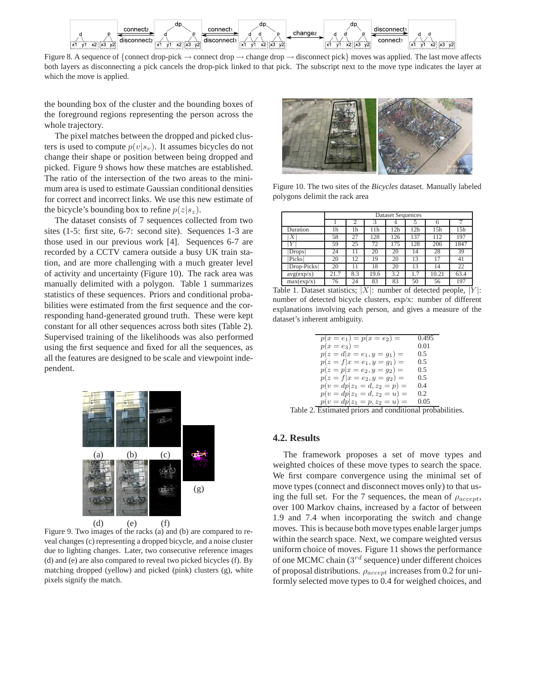

Figure 8. A sequence of {connect drop-pick → connect drop → change drop → disconnect pick} moves was applied. The last move affects both layers as disconnecting a pick cancels the drop-pick linked to that pick. The subscript next to the move type indicates the layer at which the move is applied.

the bounding box of the cluster and the bounding boxes of the foreground regions representing the person across the whole trajectory.

The pixel matches between the dropped and picked clusters is used to compute  $p(v|s_v)$ . It assumes bicycles do not change their shape or position between being dropped and picked. Figure 9 shows how these matches are established. The ratio of the intersection of the two areas to the minimum area is used to estimate Gaussian conditional densities for correct and incorrect links. We use this new estimate of the bicycle's bounding box to refine  $p(z|s_z)$ .

The dataset consists of 7 sequences collected from two sites (1-5: first site, 6-7: second site). Sequences 1-3 are those used in our previous work [4]. Sequences 6-7 are recorded by a CCTV camera outside a busy UK train station, and are more challenging with a much greater level of activity and uncertainty (Figure 10). The rack area was manually delimited with a polygon. Table 1 summarizes statistics of these sequences. Priors and conditional probabilities were estimated from the first sequence and the corresponding hand-generated ground truth. These were kept constant for all other sequences across both sites (Table 2). Supervised training of the likelihoods was also performed using the first sequence and fixed for all the sequences, as all the features are designed to be scale and viewpoint independent.



Figure 9. Two images of the racks (a) and (b) are compared to reveal changes (c) representing a dropped bicycle, and a noise cluster due to lighting changes. Later, two consecutive reference images (d) and (e) are also compared to reveal two picked bicycles (f). By matching dropped (yellow) and picked (pink) clusters (g), white pixels signify the match.



Figure 10. The two sites of the *Bicycles* dataset. Manually labeled polygons delimit the rack area

|            | Dataset Sequences |     |                 |     |                      |       |      |
|------------|-------------------|-----|-----------------|-----|----------------------|-------|------|
|            |                   | 2   |                 |     | $\ddot{\phantom{0}}$ | 6     |      |
| Duration   | 1h                | 1h  | 11h             | 12h | 12h                  | 15h   | 15h  |
| Х          | 58                | 27  | 128             | 126 | 137                  | 112   | 197  |
|            | 59                | 25  | $7\overline{2}$ | 175 | 128                  | 206   | 1847 |
| Drops      | 24                |     | 20              | 20  | 14                   | 28    | 39   |
| Picks      | 20                | 12  | 19              | 20  | 13                   | 17    | 41   |
| Drop-Picks | 20                |     | 18              | 20  | 13                   | 14    | 22   |
| avg(exp/x) | 21.7              | 8.3 | 19.6            | 3.2 |                      | 10.21 | 63.4 |
| max(exp/x) | 76                | 24  | 83              | 83  | 50                   | 56    | 197  |

Table 1. Dataset statistics;  $|X|$ : number of detected people,  $|Y|$ : number of detected bicycle clusters, exp/x: number of different explanations involving each person, and gives a measure of the dataset's inherent ambiguity.

| $p(x = e_1) = p(x = e_2) =$      | 0.495 |
|----------------------------------|-------|
| $p(x = e_3) =$                   | 0.01  |
| $p(z=d x=e_1,y=g_1)=$            | 0.5   |
| $p(z = f x = e_1, y = q_1) =$    | 0.5   |
| $p(z = p x = e_2, y = q_2) =$    | 0.5   |
| $p(z = f x = e_2, y = g_2) =$    | 0.5   |
| $p(v = dp   z_1 = d, z_2 = p) =$ | 0.4   |
| $p(v = dp   z_1 = d, z_2 = u) =$ | 0.2   |
| $p(v = dp   z_1 = p, z_2 = u) =$ | 0.05  |

Table 2. Estimated priors and conditional probabilities.

#### **4.2. Results**

The framework proposes a set of move types and weighted choices of these move types to search the space. We first compare convergence using the minimal set of move types (connect and disconnect moves only) to that using the full set. For the 7 sequences, the mean of  $\rho_{accept}$ , over 100 Markov chains, increased by a factor of between 1.9 and 7.4 when incorporating the switch and change moves. This is because both move types enable larger jumps within the search space. Next, we compare weighted versus uniform choice of moves. Figure 11 shows the performance of one MCMC chain ( $3^{rd}$  sequence) under different choices of proposal distributions.  $\rho_{accel}$  increases from 0.2 for uniformly selected move types to 0.4 for weighed choices, and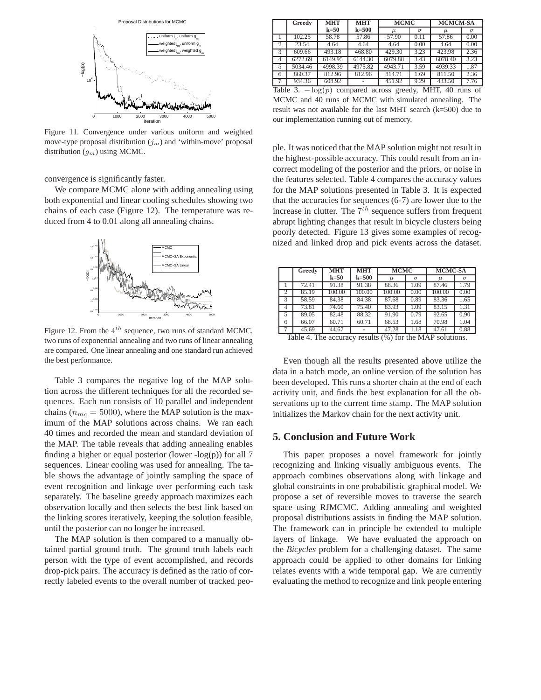

Figure 11. Convergence under various uniform and weighted move-type proposal distribution  $(j_m)$  and 'within-move' proposal distribution  $(g_m)$  using MCMC.

convergence is significantly faster.

We compare MCMC alone with adding annealing using both exponential and linear cooling schedules showing two chains of each case (Figure 12). The temperature was reduced from 4 to 0.01 along all annealing chains.



Figure 12. From the  $4^{th}$  sequence, two runs of standard MCMC, two runs of exponential annealing and two runs of linear annealing are compared. One linear annealing and one standard run achieved the best performance.

Table 3 compares the negative log of the MAP solution across the different techniques for all the recorded sequences. Each run consists of 10 parallel and independent chains ( $n_{mc} = 5000$ ), where the MAP solution is the maximum of the MAP solutions across chains. We ran each 40 times and recorded the mean and standard deviation of the MAP. The table reveals that adding annealing enables finding a higher or equal posterior (lower  $-log(p)$ ) for all 7 sequences. Linear cooling was used for annealing. The table shows the advantage of jointly sampling the space of event recognition and linkage over performing each task separately. The baseline greedy approach maximizes each observation locally and then selects the best link based on the linking scores iteratively, keeping the solution feasible, until the posterior can no longer be increased.

The MAP solution is then compared to a manually obtained partial ground truth. The ground truth labels each person with the type of event accomplished, and records drop-pick pairs. The accuracy is defined as the ratio of correctly labeled events to the overall number of tracked peo-

| Greedy  | <b>MHT</b> | <b>MHT</b> |         | <b>MCMC</b> |         | <b>MCMCM-SA</b> |  |
|---------|------------|------------|---------|-------------|---------|-----------------|--|
|         |            |            | $\mu$   | $\sigma$    | $\mu$   | $\sigma$        |  |
| 102.25  | 58.78      | 57.86      | 57.90   | 0.11        | 57.86   | 0.00            |  |
| 23.54   | 4.64       | 4.64       | 4.64    | 0.00        | 4.64    | 0.00            |  |
| 609.66  | 493.18     | 468.80     | 429.30  | 3.23        | 423.98  | 2.36            |  |
| 6272.69 | 6149.95    | 6144.30    | 6079.88 | 3.43        | 6078.40 | 3.23            |  |
| 5034.46 | 4998.39    | 4975.82    | 4943.71 | 3.59        | 4939.33 | 1.87            |  |
| 860.37  | 812.96     | 812.96     | 814.71  | 1.69        | 811.50  | 2.36            |  |
| 934.36  | 608.92     |            | 451.92  | 9.29        | 433.50  | 7.76            |  |
|         |            | $k=50$     | $k=500$ |             |         |                 |  |

Table 3.  $-\log(p)$  compared across greedy, MHT, 40 runs of MCMC and 40 runs of MCMC with simulated annealing. The result was not available for the last MHT search (k=500) due to our implementation running out of memory.

ple. It was noticed that the MAP solution might not result in the highest-possible accuracy. This could result from an incorrect modeling of the posterior and the priors, or noise in the features selected. Table 4 compares the accuracy values for the MAP solutions presented in Table 3. It is expected that the accuracies for sequences (6-7) are lower due to the increase in clutter. The  $7<sup>th</sup>$  sequence suffers from frequent abrupt lighting changes that result in bicycle clusters being poorly detected. Figure 13 gives some examples of recognized and linked drop and pick events across the dataset.

|                                                                 | Greedy             | <b>MHT</b> | <b>MHT</b> | <b>MCMC</b> |          | <b>MCMC-SA</b> |          |
|-----------------------------------------------------------------|--------------------|------------|------------|-------------|----------|----------------|----------|
|                                                                 |                    | $k=50$     | $k = 500$  | $\mu$       | $\sigma$ | $\mu$          | $\sigma$ |
|                                                                 | 72.41              | 91.38      | 91.38      | 88.36       | 1.09     | 87.46          | 1.79     |
| $\overline{2}$                                                  | 85.19              | 100.00     | 100.00     | 100.00      | 0.00     | 100.00         | 0.00     |
| 3                                                               | 58.59              | 84.38      | 84.38      | 87.68       | 0.89     | 83.36          | 1.65     |
| 4                                                               | 73.81              | 74.60      | 75.40      | 83.93       | 1.09     | 83.15          | 1.31     |
| 5                                                               | 89.05              | 82.48      | 88.32      | 91.90       | 0.79     | 92.65          | 0.90     |
| 6                                                               | 66.07              | 60.71      | 60.71      | 68.53       | 1.68     | 70.98          | 1.04     |
|                                                                 | $\overline{45.69}$ | 44.67      |            | 47.28       | 1.18     | 47.61          | 0.88     |
| Table 4<br>he accuracy results (%) for the MA<br>P<br>solutions |                    |            |            |             |          |                |          |

 $resuits$  (%) for the MAP

Even though all the results presented above utilize the data in a batch mode, an online version of the solution has been developed. This runs a shorter chain at the end of each activity unit, and finds the best explanation for all the observations up to the current time stamp. The MAP solution initializes the Markov chain for the next activity unit.

# **5. Conclusion and Future Work**

This paper proposes a novel framework for jointly recognizing and linking visually ambiguous events. The approach combines observations along with linkage and global constraints in one probabilistic graphical model. We propose a set of reversible moves to traverse the search space using RJMCMC. Adding annealing and weighted proposal distributions assists in finding the MAP solution. The framework can in principle be extended to multiple layers of linkage. We have evaluated the approach on the *Bicycles* problem for a challenging dataset. The same approach could be applied to other domains for linking relates events with a wide temporal gap. We are currently evaluating the method to recognize and link people entering